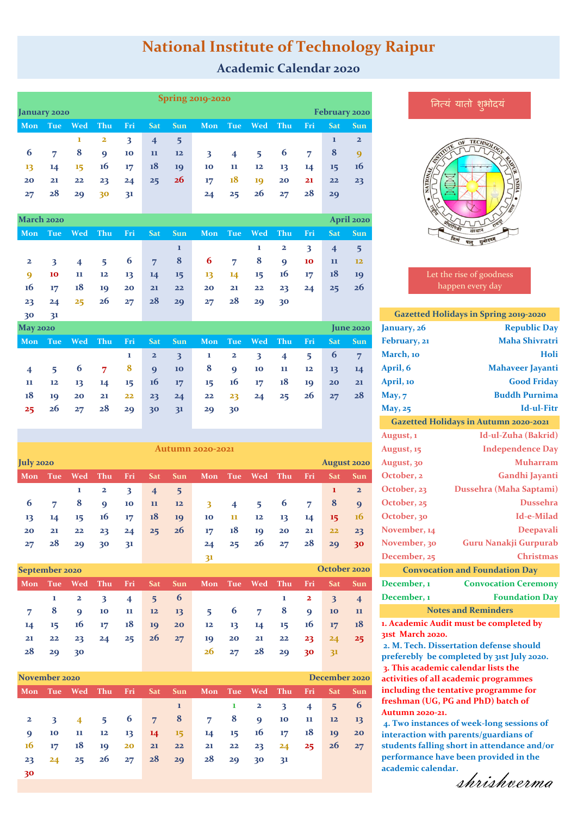# **National Institute of Technology Raipur**

### **Academic Calendar 2020**

|  |                         | <b>Spring 2019-2020</b> |                         |                         |                         |                         |                         |                         |                         |                         |                         |                |                         |                |
|--|-------------------------|-------------------------|-------------------------|-------------------------|-------------------------|-------------------------|-------------------------|-------------------------|-------------------------|-------------------------|-------------------------|----------------|-------------------------|----------------|
|  | January 2020            |                         |                         |                         |                         |                         |                         |                         | February 2020           |                         |                         |                |                         |                |
|  | Mon                     | <b>Tue</b>              | <b>Wed</b>              | Thu                     | Fri                     | <b>Sat</b>              | <b>Sun</b>              | Mon                     | Tue                     | Wed                     | Thu                     | Fri            | <b>Sat</b>              | <b>Sun</b>     |
|  |                         |                         | 1                       | $\overline{\mathbf{2}}$ | 3                       | $\overline{\mathbf{4}}$ | 5                       |                         |                         |                         |                         |                | $\mathbf{1}$            | $\overline{2}$ |
|  | 6                       | 7                       | 8                       | $\boldsymbol{9}$        | 10                      | 11                      | 12                      | $\overline{\mathbf{3}}$ | $\overline{\mathbf{4}}$ | 5                       | 6                       | $\overline{7}$ | 8                       | 9              |
|  | 13                      | 14                      | 15                      | 16                      | 17                      | 18                      | 19                      | 10                      | 11                      | 12                      | 13                      | 14             | 15                      | <b>16</b>      |
|  | 20                      | 21                      | 22                      | 23                      | 24                      | 25                      | 26                      | 17                      | 18                      | 19                      | 20                      | 21             | 22                      | 23             |
|  | 27                      | 28                      | 29                      | 30                      | 31                      |                         |                         | 24                      | 25                      | 26                      | 27                      | 28             | 29                      |                |
|  |                         |                         |                         |                         |                         |                         |                         |                         |                         |                         |                         |                |                         |                |
|  | March 2020              |                         |                         |                         |                         |                         |                         |                         |                         |                         |                         |                |                         | April 2020     |
|  | Mon                     | <b>Tue</b>              | Wed                     | Thu                     | Fri                     | <b>Sat</b>              | Sun                     | Mon                     | <b>Tue</b>              | Wed                     | Thu                     | Fri            | <b>Sat</b>              | <b>Sun</b>     |
|  |                         |                         |                         |                         |                         |                         | $\mathbf{1}$            |                         |                         | 1                       | $\mathbf{z}$            | 3              | $\overline{4}$          | 5              |
|  | $\mathbf{z}$            | $\overline{\mathbf{3}}$ | $\overline{\mathbf{4}}$ | 5                       | 6                       | 7                       | 8                       | 6                       | 7                       | 8                       | $\boldsymbol{9}$        | 10             | 11                      | 12             |
|  | 9                       | 10                      | 11                      | 12                      | 13                      | 14                      | 15                      | 13                      | 14                      | 15                      | 16                      | 17             | 18                      | 19             |
|  | <b>16</b>               | 17                      | 18                      | 19                      | 20                      | 21                      | 22                      | 20                      | 21                      | 22                      | 23                      | 24             | 25                      | 26             |
|  | 23                      | 24                      | 25                      | 26                      | 27                      | 28                      | 29                      | 27                      | 28                      | 29                      | 30                      |                |                         |                |
|  | 30                      | 31                      |                         |                         |                         |                         |                         |                         |                         |                         |                         |                |                         |                |
|  | <b>May 2020</b>         |                         |                         |                         |                         |                         |                         |                         |                         |                         |                         |                |                         | June 2020      |
|  | Mon                     | <b>Tue</b>              | Wed                     | Thu                     | Fri                     | <b>Sat</b>              | <b>Sun</b>              | Mon                     | Tue                     | Wed                     | Thu                     | Fri            | <b>Sat</b>              | <b>Sun</b>     |
|  |                         |                         |                         |                         | 1                       | $\overline{\mathbf{2}}$ | $\overline{\mathbf{3}}$ | 1                       | $\mathbf{z}$            | $\overline{\mathbf{3}}$ | $\overline{\mathbf{4}}$ | 5              | 6                       | $\overline{7}$ |
|  | $\overline{\mathbf{4}}$ | 5                       | 6                       | $\overline{7}$          | 8                       | 9                       | 10                      | 8                       | 9                       | 10                      | 11                      | 12             | 13                      | 14             |
|  | 11                      | 12                      | 13                      | 14                      | 15                      | <b>16</b>               | 17                      | 15                      | 16                      | 17                      | 18                      | 19             | 20                      | 21             |
|  | 18                      | 19                      | 20                      | 21                      | 22                      | 23                      | 24                      | 22                      | 23                      | 24                      | 25                      | 26             | 27                      | 28             |
|  | 25                      | 26                      | 27                      | 28                      | 29                      | 30                      | 31                      | 29                      | 30                      |                         |                         |                |                         |                |
|  |                         |                         |                         |                         |                         |                         |                         |                         |                         |                         |                         |                |                         |                |
|  |                         |                         |                         |                         |                         |                         |                         |                         |                         |                         |                         |                |                         |                |
|  | <b>Autumn 2020-2021</b> |                         |                         |                         |                         |                         |                         |                         |                         |                         |                         |                |                         |                |
|  | July 2020               |                         |                         |                         |                         |                         |                         | Mon                     |                         |                         | Thu                     |                | <b>August 2020</b>      |                |
|  | Mon                     | Tue                     | Wed                     | Thu                     | Fri                     | Sat                     | <b>Sun</b>              |                         | Tue                     | Wed                     |                         | Fri            | Sat                     | <b>Sun</b>     |
|  |                         |                         | 1                       | $\mathbf{z}$            | $\overline{\mathbf{3}}$ | $\overline{\mathbf{4}}$ | 5                       |                         |                         |                         |                         |                | $\mathbf{1}$            | $\mathbf{2}$   |
|  | 6                       | 7                       | 8                       | 9<br>16                 | 10                      | 11                      | 12                      | $\overline{\mathbf{3}}$ | 4                       | 5                       | 6                       | $\overline{7}$ | 8                       | 9              |
|  | 13                      | 14                      | 15                      |                         | 17                      | 18                      | 19                      | 10                      | 11                      | 12                      | 13                      | 14             | 15                      | 16             |
|  | 20                      | 21<br>28                | 22                      | 23                      | 24                      | 25                      | <b>26</b>               | 17                      | 18                      | 19<br>26                | 20                      | 21<br>28       | 22                      | 23             |
|  | 27                      |                         | 29                      | 30                      | 31                      |                         |                         | 24                      | 25                      |                         | 27                      |                | 29                      | 30             |
|  | September 2020          |                         |                         |                         |                         |                         |                         | 31                      |                         |                         |                         |                |                         | October 2020   |
|  | Mon                     | Tue                     | Wed                     | Thu                     | Fri                     | Sat                     | Sun                     | Mon                     | Tue                     | Wed                     | Thu                     | Fri            | Sat                     | Sun            |
|  |                         | $\mathbf{1}$            | $\overline{\mathbf{2}}$ | $\overline{\mathbf{3}}$ | $\overline{\mathbf{4}}$ | $\overline{5}$          | $\boldsymbol{6}$        |                         |                         |                         | $\mathbf 1$             | $\mathbf{2}$   | $\overline{\mathbf{3}}$ | $\overline{4}$ |
|  | $\overline{7}$          | 8                       | 9                       | 10                      | 11                      | 12                      | 13                      | 5                       | 6                       | $\overline{7}$          | 8                       | $\overline{9}$ | 10                      | 11             |
|  | 14                      | 15                      | 16                      | 17                      | 18                      | 19                      | 20                      | 12                      | 13                      | 14                      | 15                      | 16             | 17                      | 18             |
|  | ${\bf 21}$              | ${\bf 22}$              | 23                      | 24                      | 25                      | 26                      | 27                      | 19                      | ${\bf 20}$              | 21                      | $22$                    | 23             | 24                      | 25             |
|  | 28                      | 29                      | 30                      |                         |                         |                         |                         | 26                      | 27                      | 28                      | 29                      | 30             | 31                      |                |
|  |                         |                         |                         |                         |                         |                         |                         |                         |                         |                         |                         |                |                         |                |

| November 2020 |              |                |                  |            |                    |                     |                                                        |              |               |                         |        | December 2020       |            |
|---------------|--------------|----------------|------------------|------------|--------------------|---------------------|--------------------------------------------------------|--------------|---------------|-------------------------|--------|---------------------|------------|
|               |              |                |                  |            |                    |                     | <u>Mon Tue Wed Thu Fri Sat Sun Mon Tue Wed Thu Fri</u> |              |               |                         |        |                     | Sat Sun    |
|               |              |                |                  |            |                    | $\mathbf{1}$        |                                                        | $\mathbf{1}$ | $\mathbf{2}$  | $\overline{\mathbf{3}}$ |        | $4 \quad 5 \quad 6$ |            |
| $\mathbf{2}$  | $\mathbf{3}$ | $\overline{4}$ |                  |            | $5 \t 6 \t 7 \t 8$ |                     |                                                        |              | 78910         |                         | 11     | $12 \t 13$          |            |
| $\mathbf Q$   | 10           | 11             |                  |            |                    | $12 \t13 \t14 \t15$ | 14 15 16 17                                            |              |               |                         | 18     |                     | 10 20      |
| 16            | 17           |                | $18 \t 19 \t 20$ |            |                    | $21 \t 22$          | 21 22                                                  |              | $23 -$        | 24                      | $25 -$ |                     | $26 \t 27$ |
| 23            | 24           | $25 -$         |                  | $26 \t 27$ |                    | $28 \t 29$          | 28                                                     | 29           | $30 \quad 31$ |                         |        |                     |            |
| 30            |              |                |                  |            |                    |                     |                                                        |              |               |                         |        |                     |            |

#### नित्यं यातो शुभोदयं



 Let the rise of goodness happen every day

|                         |                  | <b>Gazetted Holidays in Spring 2019-2020</b>  |                                              |  |  |  |  |
|-------------------------|------------------|-----------------------------------------------|----------------------------------------------|--|--|--|--|
|                         | June 2020        | January, 26                                   | <b>Republic Day</b>                          |  |  |  |  |
| <b>Sat</b>              | <b>Sun</b>       | February, 21                                  | <b>Maha Shivratri</b>                        |  |  |  |  |
| 6                       | 7                | March, 10                                     | Holi                                         |  |  |  |  |
| 13                      | 14               | April, 6                                      | <b>Mahaveer Jayanti</b>                      |  |  |  |  |
| 20                      | 21               | April, 10                                     | <b>Good Friday</b>                           |  |  |  |  |
| 27                      | 28               | May, 7                                        | <b>Buddh Purnima</b>                         |  |  |  |  |
|                         |                  | May, 25                                       | <b>Id-ul-Fitr</b>                            |  |  |  |  |
|                         |                  |                                               | <b>Gazetted Holidays in Autumn 2020-2021</b> |  |  |  |  |
|                         |                  | August, 1                                     | Id-ul-Zuha (Bakrid)                          |  |  |  |  |
|                         |                  | August, 15                                    | <b>Independence Day</b>                      |  |  |  |  |
|                         | <b>gust 2020</b> | August, 30                                    | <b>Muharram</b>                              |  |  |  |  |
| šat                     | <b>Sun</b>       | October, 2                                    | Gandhi Jayanti                               |  |  |  |  |
| $\mathbf{1}$            | $\overline{2}$   | October, 23                                   | Dussehra (Maha Saptami)                      |  |  |  |  |
| 8                       | $\overline{9}$   | October, 25                                   | <b>Dussehra</b>                              |  |  |  |  |
| 15                      | 16               | October, 30                                   | Id-e-Milad                                   |  |  |  |  |
| $22^{2}$                | 23               | November, 14                                  | <b>Deepavali</b>                             |  |  |  |  |
| 29                      | 30               | November, 30                                  | Guru Nanakji Gurpurab                        |  |  |  |  |
|                         |                  | December, 25                                  | <b>Christmas</b>                             |  |  |  |  |
|                         | ober 2020        | <b>Convocation and Foundation Day</b>         |                                              |  |  |  |  |
| šat                     | <b>Sun</b>       | December, 1                                   | <b>Convocation Ceremony</b>                  |  |  |  |  |
| $\overline{\mathbf{3}}$ | $\overline{4}$   | December, 1                                   | <b>Foundation Day</b>                        |  |  |  |  |
| LO                      | 11               |                                               | <b>Notes and Reminders</b>                   |  |  |  |  |
|                         |                  | <b>State</b><br>$\mathbf{r}$ and $\mathbf{r}$ | $\mathbf{r}$ . The state $\mathbf{r}$        |  |  |  |  |

**1. Academic Audit must be completed by 31st March 2020.** 

**2. M. Tech. Dissertation defense should preferebly be completed by 31st July 2020. 3. This academic calendar lists the activities of all academic programmes including the tentative programme for freshman (UG, PG and PhD) batch of Autumn 2020-21.** 

**4. Two instances of week-long sessions of interaction with parents/guardians of students falling short in attendance and/or performance have been provided in the**  academic calendar.<br>Shrishverma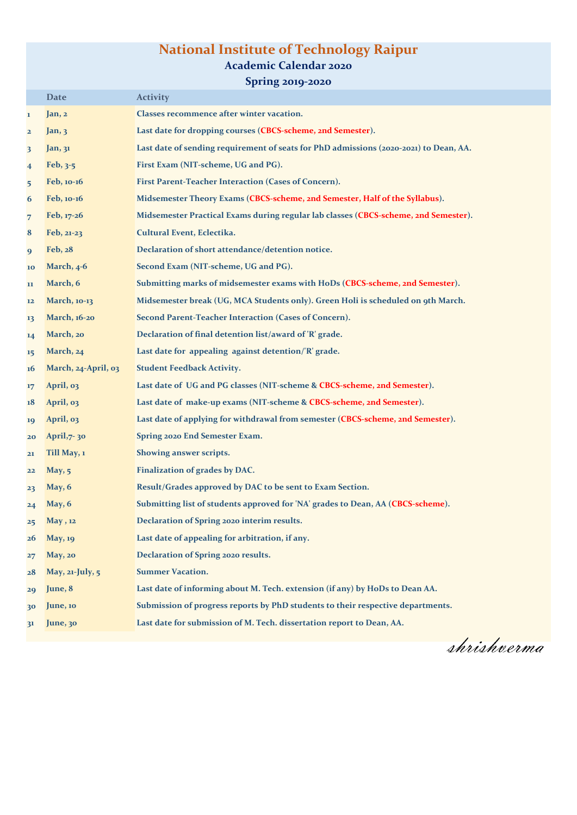# **National Institute of Technology Raipur**

#### **Academic Calendar 2020**

**Spring 2019-2020**

|                         | <b>Date</b>         | <b>Activity</b>                                                                       |
|-------------------------|---------------------|---------------------------------------------------------------------------------------|
| 1                       | Jan, 2              | Classes recommence after winter vacation.                                             |
| $\overline{\mathbf{c}}$ | Jan, 3              | Last date for dropping courses (CBCS-scheme, 2nd Semester).                           |
| 3                       | Jan, 31             | Last date of sending requirement of seats for PhD admissions (2020-2021) to Dean, AA. |
| $\overline{\mathbf{4}}$ | Feb, $3-5$          | First Exam (NIT-scheme, UG and PG).                                                   |
| 5                       | Feb, 10-16          | First Parent-Teacher Interaction (Cases of Concern).                                  |
| 6                       | Feb, 10-16          | Midsemester Theory Exams (CBCS-scheme, 2nd Semester, Half of the Syllabus).           |
| 7                       | Feb, 17-26          | Midsemester Practical Exams during regular lab classes (CBCS-scheme, 2nd Semester).   |
| 8                       | Feb, 21-23          | Cultural Event, Eclectika.                                                            |
| 9                       | Feb, 28             | Declaration of short attendance/detention notice.                                     |
| 10                      | March, 4-6          | Second Exam (NIT-scheme, UG and PG).                                                  |
| 11                      | March, 6            | Submitting marks of midsemester exams with HoDs (CBCS-scheme, 2nd Semester).          |
| 12                      | March, 10-13        | Midsemester break (UG, MCA Students only). Green Holi is scheduled on 9th March.      |
| 13                      | March, 16-20        | Second Parent-Teacher Interaction (Cases of Concern).                                 |
| 14                      | March, 20           | Declaration of final detention list/award of 'R' grade.                               |
| 15                      | March, 24           | Last date for appealing against detention/'R' grade.                                  |
| <b>16</b>               | March, 24-April, 03 | <b>Student Feedback Activity.</b>                                                     |
| 17                      | April, 03           | Last date of UG and PG classes (NIT-scheme & CBCS-scheme, 2nd Semester).              |
| 18                      | April, 03           | Last date of make-up exams (NIT-scheme & CBCS-scheme, 2nd Semester).                  |
| 19                      | April, 03           | Last date of applying for withdrawal from semester (CBCS-scheme, 2nd Semester).       |
| 20                      | April, 7-30         | Spring 2020 End Semester Exam.                                                        |
| 21                      | Till May, 1         | Showing answer scripts.                                                               |
| 22                      | May, $5$            | Finalization of grades by DAC.                                                        |
| 23                      | May, 6              | Result/Grades approved by DAC to be sent to Exam Section.                             |
| 24                      | May, 6              | Submitting list of students approved for 'NA' grades to Dean, AA (CBCS-scheme).       |
| 25                      | May, 12             | Declaration of Spring 2020 interim results.                                           |
| <b>26</b>               | <b>May</b> , 19     | Last date of appealing for arbitration, if any.                                       |
| 27                      | May, 20             | Declaration of Spring 2020 results.                                                   |
| 28                      | May, 21-July, 5     | <b>Summer Vacation.</b>                                                               |
| 29                      | June, 8             | Last date of informing about M. Tech. extension (if any) by HoDs to Dean AA.          |
| 30                      | June, 10            | Submission of progress reports by PhD students to their respective departments.       |
| 3 <sup>1</sup>          | June, 30            | Last date for submission of M. Tech. dissertation report to Dean, AA.                 |

shrishverma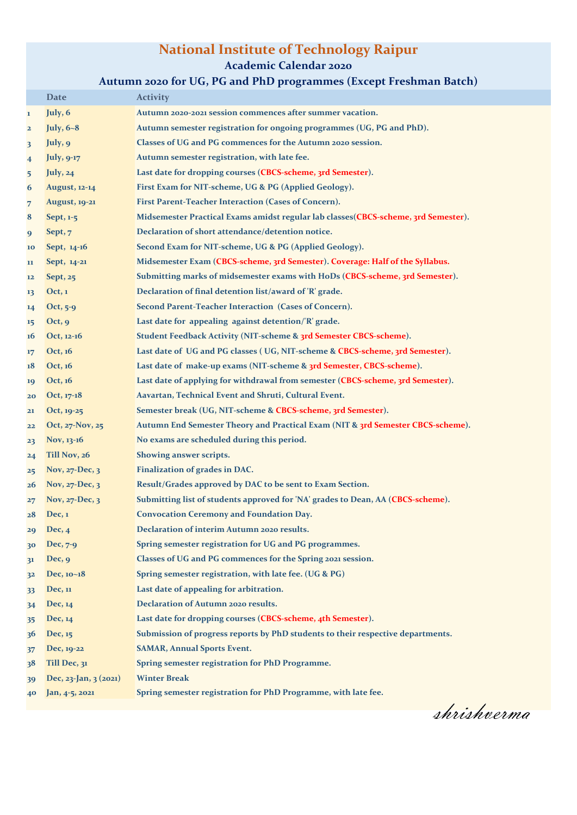### **National Institute of Technology Raipur**

**Academic Calendar 2020**

### **Autumn 2020 for UG, PG and PhD programmes (Except Freshman Batch)**

|                         | <b>Date</b>           | <b>Activity</b>                                                                    |
|-------------------------|-----------------------|------------------------------------------------------------------------------------|
| $\mathbf{1}$            | July, 6               | Autumn 2020-2021 session commences after summer vacation.                          |
| $\overline{\mathbf{2}}$ | <b>July</b> , 6~8     | Autumn semester registration for ongoing programmes (UG, PG and PhD).              |
| 3                       | July, 9               | Classes of UG and PG commences for the Autumn 2020 session.                        |
| $\overline{\mathbf{4}}$ | <b>July</b> , 9-17    | Autumn semester registration, with late fee.                                       |
| 5                       | July, 24              | Last date for dropping courses (CBCS-scheme, 3rd Semester).                        |
| 6                       | <b>August</b> , 12-14 | First Exam for NIT-scheme, UG & PG (Applied Geology).                              |
| $\overline{7}$          | <b>August</b> , 19-21 | First Parent-Teacher Interaction (Cases of Concern).                               |
| 8                       | Sept, 1-5             | Midsemester Practical Exams amidst regular lab classes(CBCS-scheme, 3rd Semester). |
| 9                       | Sept, 7               | Declaration of short attendance/detention notice.                                  |
| 10                      | Sept, 14-16           | Second Exam for NIT-scheme, UG & PG (Applied Geology).                             |
| 11                      | Sept, 14-21           | Midsemester Exam (CBCS-scheme, 3rd Semester). Coverage: Half of the Syllabus.      |
| 12                      | Sept, 25              | Submitting marks of midsemester exams with HoDs (CBCS-scheme, 3rd Semester).       |
| 13                      | Oct, 1                | Declaration of final detention list/award of 'R' grade.                            |
| 14                      | Oct, $5-9$            | Second Parent-Teacher Interaction (Cases of Concern).                              |
| 15                      | Oct, 9                | Last date for appealing against detention/'R' grade.                               |
| 16                      | Oct, 12-16            | Student Feedback Activity (NIT-scheme & 3rd Semester CBCS-scheme).                 |
| 17                      | Oct, 16               | Last date of UG and PG classes (UG, NIT-scheme & CBCS-scheme, 3rd Semester).       |
| 18                      | Oct, 16               | Last date of make-up exams (NIT-scheme & 3rd Semester, CBCS-scheme).               |
| 19                      | Oct, 16               | Last date of applying for withdrawal from semester (CBCS-scheme, 3rd Semester).    |
| 20                      | Oct, 17-18            | Aavartan, Technical Event and Shruti, Cultural Event.                              |
| 21                      | Oct, 19-25            | Semester break (UG, NIT-scheme & CBCS-scheme, 3rd Semester).                       |
| 22                      | Oct, 27-Nov, 25       | Autumn End Semester Theory and Practical Exam (NIT & 3rd Semester CBCS-scheme).    |
| 23                      | Nov, 13-16            | No exams are scheduled during this period.                                         |
| 24                      | Till Nov, 26          | Showing answer scripts.                                                            |
| 25                      | Nov, $27$ -Dec, $3$   | <b>Finalization of grades in DAC.</b>                                              |
| 26                      | Nov, 27-Dec, 3        | Result/Grades approved by DAC to be sent to Exam Section.                          |
| 27                      | Nov, 27-Dec, 3        | Submitting list of students approved for 'NA' grades to Dean, AA (CBCS-scheme).    |
| 28                      | Dec, 1                | <b>Convocation Ceremony and Foundation Day.</b>                                    |
| 29                      | Dec, 4                | Declaration of interim Autumn 2020 results.                                        |
| 30                      | Dec, $7-9$            | Spring semester registration for UG and PG programmes.                             |
| 31                      | Dec, 9                | Classes of UG and PG commences for the Spring 2021 session.                        |
| 32                      | Dec, 10~18            | Spring semester registration, with late fee. (UG & PG)                             |
| 33                      | Dec, 11               | Last date of appealing for arbitration.                                            |
| 34                      | Dec, 14               | Declaration of Autumn 2020 results.                                                |
| 35                      | Dec, 14               | Last date for dropping courses (CBCS-scheme, 4th Semester).                        |
| 36                      | Dec, 15               | Submission of progress reports by PhD students to their respective departments.    |
| 37                      | Dec, 19-22            | <b>SAMAR, Annual Sports Event.</b>                                                 |
| 38                      | Till Dec, 31          | Spring semester registration for PhD Programme.                                    |
| 39                      | Dec, 23-Jan, 3 (2021) | <b>Winter Break</b>                                                                |
| 40                      | Jan, 4-5, 2021        | Spring semester registration for PhD Programme, with late fee.                     |

shrishverma